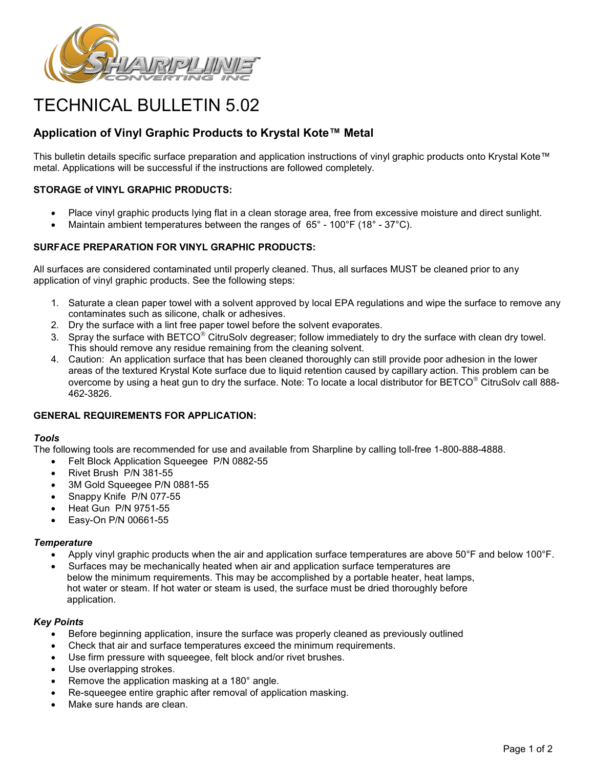

# TECHNICAL BULLETIN 5.02

# **Application of Vinyl Graphic Products to Krystal Kote™ Metal**

This bulletin details specific surface preparation and application instructions of vinyl graphic products onto Krystal Kote™ metal. Applications will be successful if the instructions are followed completely.

# **STORAGE of VINYL GRAPHIC PRODUCTS:**

- Place vinyl graphic products lying flat in a clean storage area, free from excessive moisture and direct sunlight.
- Maintain ambient temperatures between the ranges of 65° 100°F (18° 37°C).

# **SURFACE PREPARATION FOR VINYL GRAPHIC PRODUCTS:**

All surfaces are considered contaminated until properly cleaned. Thus, all surfaces MUST be cleaned prior to any application of vinyl graphic products. See the following steps:

- 1. Saturate a clean paper towel with a solvent approved by local EPA regulations and wipe the surface to remove any contaminates such as silicone, chalk or adhesives.
- 2. Dry the surface with a lint free paper towel before the solvent evaporates.
- 3. Spray the surface with  $BETCO^{\circledast}$  CitruSolv degreaser; follow immediately to dry the surface with clean dry towel. This should remove any residue remaining from the cleaning solvent.
- 4. Caution: An application surface that has been cleaned thoroughly can still provide poor adhesion in the lower areas of the textured Krystal Kote surface due to liquid retention caused by capillary action. This problem can be overcome by using a heat gun to dry the surface. Note: To locate a local distributor for  $BETCO^{\circ}$  CitruSolv call 888-462-3826.

# **GENERAL REQUIREMENTS FOR APPLICATION:**

# *Tools*

The following tools are recommended for use and available from Sharpline by calling toll-free 1-800-888-4888.

- Felt Block Application Squeegee P/N 0882-55
- Rivet Brush P/N 381-55
- 3M Gold Squeegee P/N 0881-55
- Snappy Knife P/N 077-55
- Heat Gun P/N 9751-55
- Easy-On P/N 00661-55

# *Temperature*

- Apply vinyl graphic products when the air and application surface temperatures are above 50°F and below 100°F.
- Surfaces may be mechanically heated when air and application surface temperatures are below the minimum requirements. This may be accomplished by a portable heater, heat lamps, hot water or steam. If hot water or steam is used, the surface must be dried thoroughly before application.

# *Key Points*

- Before beginning application, insure the surface was properly cleaned as previously outlined
- Check that air and surface temperatures exceed the minimum requirements.
- Use firm pressure with squeegee, felt block and/or rivet brushes.
- Use overlapping strokes.
- Remove the application masking at a 180° angle.
- Re-squeegee entire graphic after removal of application masking.
- Make sure hands are clean.